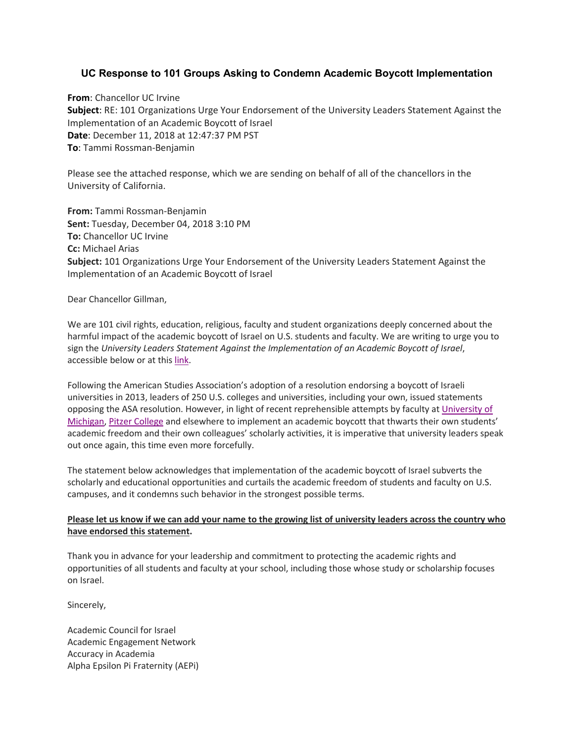# **UC Response to 101 Groups Asking to Condemn Academic Boycott Implementation**

**From**: Chancellor UC Irvine **Subject**: RE: 101 Organizations Urge Your Endorsement of the University Leaders Statement Against the Implementation of an Academic Boycott of Israel **Date**: December 11, 2018 at 12:47:37 PM PST **To**: Tammi Rossman-Benjamin

Please see the attached response, which we are sending on behalf of all of the chancellors in the University of California.

**From:** Tammi Rossman-Benjamin **Sent:** Tuesday, December 04, 2018 3:10 PM **To:** Chancellor UC Irvine **Cc:** Michael Arias **Subject:** 101 Organizations Urge Your Endorsement of the University Leaders Statement Against the Implementation of an Academic Boycott of Israel

Dear Chancellor Gillman,

We are 101 civil rights, education, religious, faculty and student organizations deeply concerned about the harmful impact of the academic boycott of Israel on U.S. students and faculty. We are writing to urge you to sign the *University Leaders Statement Against the Implementation of an Academic Boycott of Israel*, accessible below or at this [link.](https://amchainitiative.org/wp-content/uploads/2018/10/University-Leaders-Statement-Against-the-Implementation-of-an-Academic-Boycott-of-Israel.pdf)

Following the American Studies Association's adoption of a resolution endorsing a boycott of Israeli universities in 2013, leaders of 250 U.S. colleges and universities, including your own, issued statements opposing the ASA resolution. However, in light of recent reprehensible attempts by faculty at [University of](https://www.insidehighered.com/news/2018/09/19/professor-cites-boycott-israeli-universities-declining-write-recommendation-letter)  [Michigan,](https://www.insidehighered.com/news/2018/09/19/professor-cites-boycott-israeli-universities-declining-write-recommendation-letter) [Pitzer College](https://www.insidehighered.com/news/2018/11/28/pitzer-faculty-vote-suspend-study-abroad-program-israel) and elsewhere to implement an academic boycott that thwarts their own students' academic freedom and their own colleagues' scholarly activities, it is imperative that university leaders speak out once again, this time even more forcefully.

The statement below acknowledges that implementation of the academic boycott of Israel subverts the scholarly and educational opportunities and curtails the academic freedom of students and faculty on U.S. campuses, and it condemns such behavior in the strongest possible terms.

## **Please let us know if we can add your name to the growing list of university leaders across the country who have endorsed this statement.**

Thank you in advance for your leadership and commitment to protecting the academic rights and opportunities of all students and faculty at your school, including those whose study or scholarship focuses on Israel.

Sincerely,

Academic Council for Israel Academic Engagement Network Accuracy in Academia Alpha Epsilon Pi Fraternity (AEPi)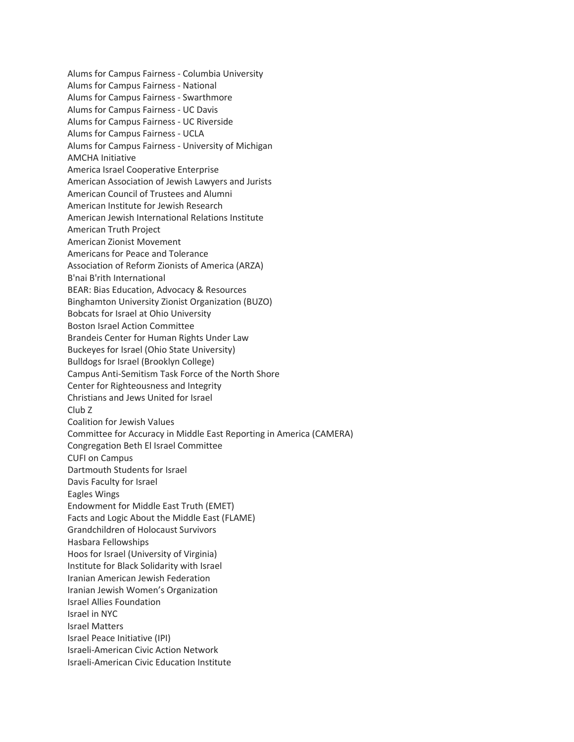Alums for Campus Fairness - Columbia University Alums for Campus Fairness - National Alums for Campus Fairness - Swarthmore Alums for Campus Fairness - UC Davis Alums for Campus Fairness - UC Riverside Alums for Campus Fairness - UCLA Alums for Campus Fairness - University of Michigan AMCHA Initiative America Israel Cooperative Enterprise American Association of Jewish Lawyers and Jurists American Council of Trustees and Alumni American Institute for Jewish Research American Jewish International Relations Institute American Truth Project American Zionist Movement Americans for Peace and Tolerance Association of Reform Zionists of America (ARZA) B'nai B'rith International BEAR: Bias Education, Advocacy & Resources Binghamton University Zionist Organization (BUZO) Bobcats for Israel at Ohio University Boston Israel Action Committee Brandeis Center for Human Rights Under Law Buckeyes for Israel (Ohio State University) Bulldogs for Israel (Brooklyn College) Campus Anti-Semitism Task Force of the North Shore Center for Righteousness and Integrity Christians and Jews United for Israel Club Z Coalition for Jewish Values Committee for Accuracy in Middle East Reporting in America (CAMERA) Congregation Beth El Israel Committee CUFI on Campus Dartmouth Students for Israel Davis Faculty for Israel Eagles Wings Endowment for Middle East Truth (EMET) Facts and Logic About the Middle East (FLAME) Grandchildren of Holocaust Survivors Hasbara Fellowships Hoos for Israel (University of Virginia) Institute for Black Solidarity with Israel Iranian American Jewish Federation Iranian Jewish Women's Organization Israel Allies Foundation Israel in NYC Israel Matters Israel Peace Initiative (IPI) Israeli-American Civic Action Network Israeli-American Civic Education Institute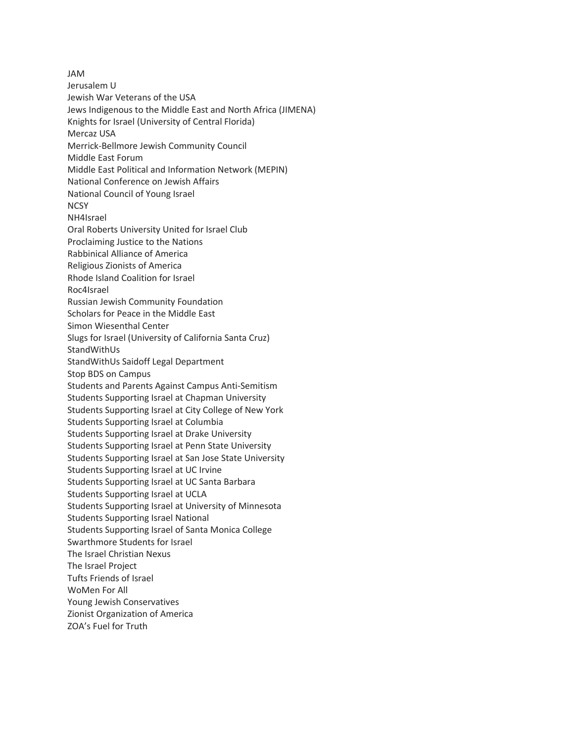JAM Jerusalem U Jewish War Veterans of the USA Jews Indigenous to the Middle East and North Africa (JIMENA) Knights for Israel (University of Central Florida) Mercaz USA Merrick-Bellmore Jewish Community Council Middle East Forum Middle East Political and Information Network (MEPIN) National Conference on Jewish Affairs National Council of Young Israel **NCSY** NH4Israel Oral Roberts University United for Israel Club Proclaiming Justice to the Nations Rabbinical Alliance of America Religious Zionists of America Rhode Island Coalition for Israel Roc4Israel Russian Jewish Community Foundation Scholars for Peace in the Middle East Simon Wiesenthal Center Slugs for Israel (University of California Santa Cruz) StandWithUs StandWithUs Saidoff Legal Department Stop BDS on Campus Students and Parents Against Campus Anti-Semitism Students Supporting Israel at Chapman University Students Supporting Israel at City College of New York Students Supporting Israel at Columbia Students Supporting Israel at Drake University Students Supporting Israel at Penn State University Students Supporting Israel at San Jose State University Students Supporting Israel at UC Irvine Students Supporting Israel at UC Santa Barbara Students Supporting Israel at UCLA Students Supporting Israel at University of Minnesota Students Supporting Israel National Students Supporting Israel of Santa Monica College Swarthmore Students for Israel The Israel Christian Nexus The Israel Project Tufts Friends of Israel WoMen For All Young Jewish Conservatives Zionist Organization of America ZOA's Fuel for Truth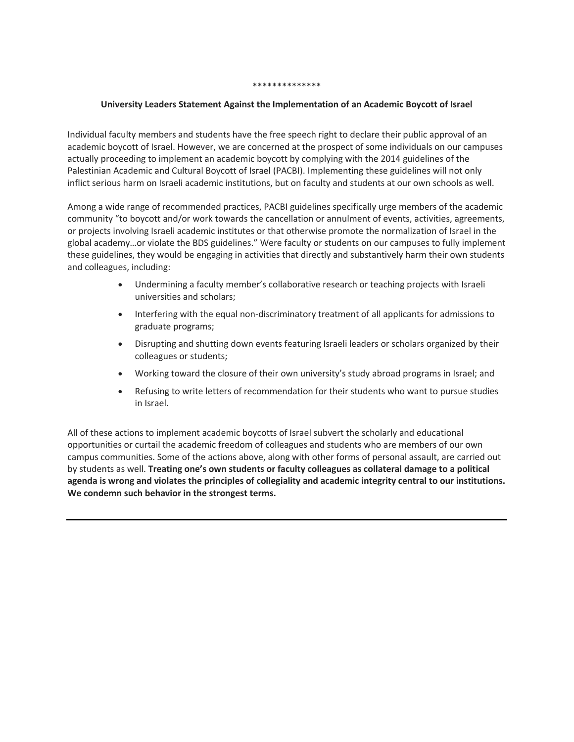#### \*\*\*\*\*\*\*\*\*\*\*\*\*\*

### **University Leaders Statement Against the Implementation of an Academic Boycott of Israel**

Individual faculty members and students have the free speech right to declare their public approval of an academic boycott of Israel. However, we are concerned at the prospect of some individuals on our campuses actually proceeding to implement an academic boycott by complying with the 2014 guidelines of the Palestinian Academic and Cultural Boycott of Israel (PACBI). Implementing these guidelines will not only inflict serious harm on Israeli academic institutions, but on faculty and students at our own schools as well.

Among a wide range of recommended practices, PACBI guidelines specifically urge members of the academic community "to boycott and/or work towards the cancellation or annulment of events, activities, agreements, or projects involving Israeli academic institutes or that otherwise promote the normalization of Israel in the global academy…or violate the BDS guidelines." Were faculty or students on our campuses to fully implement these guidelines, they would be engaging in activities that directly and substantively harm their own students and colleagues, including:

- Undermining a faculty member's collaborative research or teaching projects with Israeli universities and scholars;
- Interfering with the equal non-discriminatory treatment of all applicants for admissions to graduate programs;
- Disrupting and shutting down events featuring Israeli leaders or scholars organized by their colleagues or students;
- Working toward the closure of their own university's study abroad programs in Israel; and
- Refusing to write letters of recommendation for their students who want to pursue studies in Israel.

All of these actions to implement academic boycotts of Israel subvert the scholarly and educational opportunities or curtail the academic freedom of colleagues and students who are members of our own campus communities. Some of the actions above, along with other forms of personal assault, are carried out by students as well. **Treating one's own students or faculty colleagues as collateral damage to a political agenda is wrong and violates the principles of collegiality and academic integrity central to our institutions. We condemn such behavior in the strongest terms.**